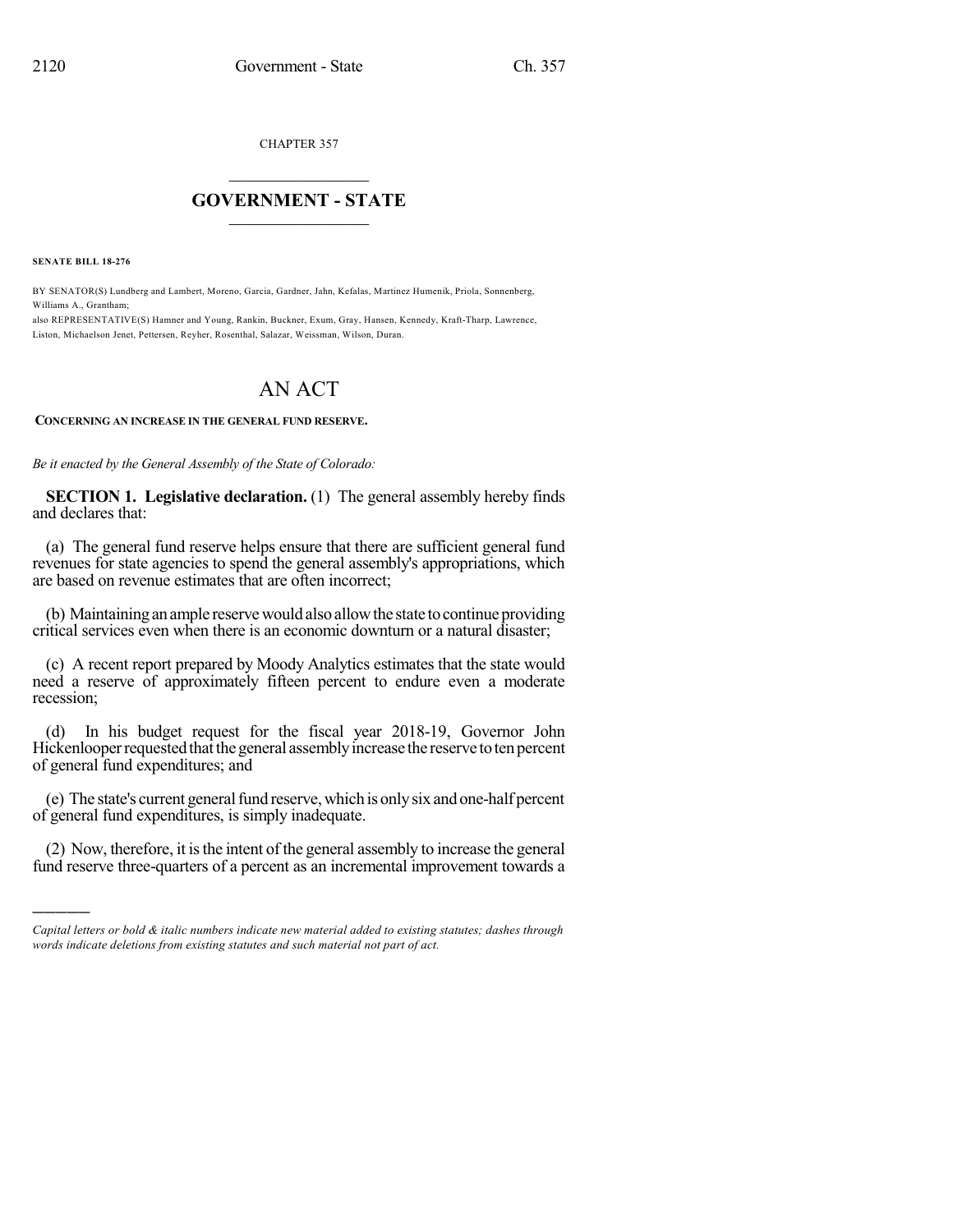CHAPTER 357

## $\overline{\phantom{a}}$  . The set of the set of the set of the set of the set of the set of the set of the set of the set of the set of the set of the set of the set of the set of the set of the set of the set of the set of the set o **GOVERNMENT - STATE**  $\_$

**SENATE BILL 18-276**

)))))

BY SENATOR(S) Lundberg and Lambert, Moreno, Garcia, Gardner, Jahn, Kefalas, Martinez Humenik, Priola, Sonnenberg, Williams A., Grantham;

also REPRESENTATIVE(S) Hamner and Young, Rankin, Buckner, Exum, Gray, Hansen, Kennedy, Kraft-Tharp, Lawrence, Liston, Michaelson Jenet, Pettersen, Reyher, Rosenthal, Salazar, Weissman, Wilson, Duran.

## AN ACT

**CONCERNING AN INCREASE IN THE GENERAL FUND RESERVE.**

*Be it enacted by the General Assembly of the State of Colorado:*

**SECTION 1. Legislative declaration.** (1) The general assembly hereby finds and declares that:

(a) The general fund reserve helps ensure that there are sufficient general fund revenues for state agencies to spend the general assembly's appropriations, which are based on revenue estimates that are often incorrect;

(b) Maintaining an ample reserve would also allow the state to continue providing critical services even when there is an economic downturn or a natural disaster;

(c) A recent report prepared by Moody Analytics estimates that the state would need a reserve of approximately fifteen percent to endure even a moderate recession;

(d) In his budget request for the fiscal year 2018-19, Governor John Hickenlooper requested that the general assembly increase the reserve to ten percent of general fund expenditures; and

(e) The state's current general fund reserve, which is only six and one-half percent of general fund expenditures, is simply inadequate.

(2) Now, therefore, it isthe intent of the general assembly to increase the general fund reserve three-quarters of a percent as an incremental improvement towards a

*Capital letters or bold & italic numbers indicate new material added to existing statutes; dashes through words indicate deletions from existing statutes and such material not part of act.*